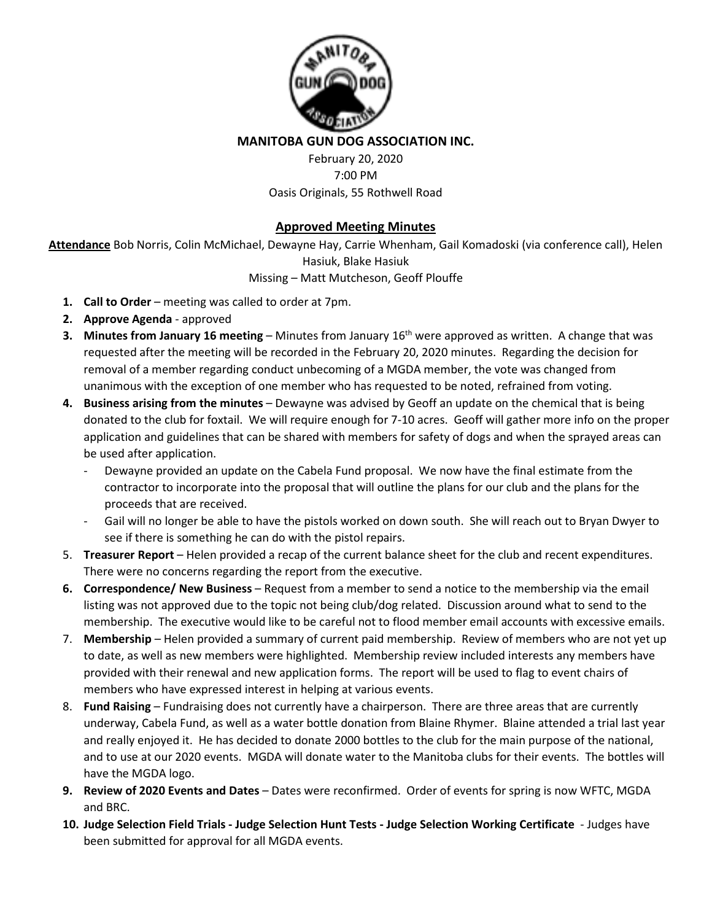

**MANITOBA GUN DOG ASSOCIATION INC.** 

February 20, 2020 7:00 PM Oasis Originals, 55 Rothwell Road

## **Approved Meeting Minutes**

**Attendance** Bob Norris, Colin McMichael, Dewayne Hay, Carrie Whenham, Gail Komadoski (via conference call), Helen Hasiuk, Blake Hasiuk

## Missing – Matt Mutcheson, Geoff Plouffe

- **1. Call to Order** meeting was called to order at 7pm.
- **2. Approve Agenda** approved
- **3. Minutes from January 16 meeting** Minutes from January 16<sup>th</sup> were approved as written. A change that was requested after the meeting will be recorded in the February 20, 2020 minutes. Regarding the decision for removal of a member regarding conduct unbecoming of a MGDA member, the vote was changed from unanimous with the exception of one member who has requested to be noted, refrained from voting.
- **4. Business arising from the minutes** Dewayne was advised by Geoff an update on the chemical that is being donated to the club for foxtail. We will require enough for 7-10 acres. Geoff will gather more info on the proper application and guidelines that can be shared with members for safety of dogs and when the sprayed areas can be used after application.
	- Dewayne provided an update on the Cabela Fund proposal. We now have the final estimate from the contractor to incorporate into the proposal that will outline the plans for our club and the plans for the proceeds that are received.
	- Gail will no longer be able to have the pistols worked on down south. She will reach out to Bryan Dwyer to see if there is something he can do with the pistol repairs.
- 5. **Treasurer Report** Helen provided a recap of the current balance sheet for the club and recent expenditures. There were no concerns regarding the report from the executive.
- **6. Correspondence/ New Business** Request from a member to send a notice to the membership via the email listing was not approved due to the topic not being club/dog related. Discussion around what to send to the membership. The executive would like to be careful not to flood member email accounts with excessive emails.
- 7. **Membership** Helen provided a summary of current paid membership. Review of members who are not yet up to date, as well as new members were highlighted. Membership review included interests any members have provided with their renewal and new application forms. The report will be used to flag to event chairs of members who have expressed interest in helping at various events.
- 8. **Fund Raising** Fundraising does not currently have a chairperson. There are three areas that are currently underway, Cabela Fund, as well as a water bottle donation from Blaine Rhymer. Blaine attended a trial last year and really enjoyed it. He has decided to donate 2000 bottles to the club for the main purpose of the national, and to use at our 2020 events. MGDA will donate water to the Manitoba clubs for their events. The bottles will have the MGDA logo.
- **9. Review of 2020 Events and Dates** Dates were reconfirmed. Order of events for spring is now WFTC, MGDA and BRC.
- **10. Judge Selection Field Trials - Judge Selection Hunt Tests - Judge Selection Working Certificate**  Judges have been submitted for approval for all MGDA events.